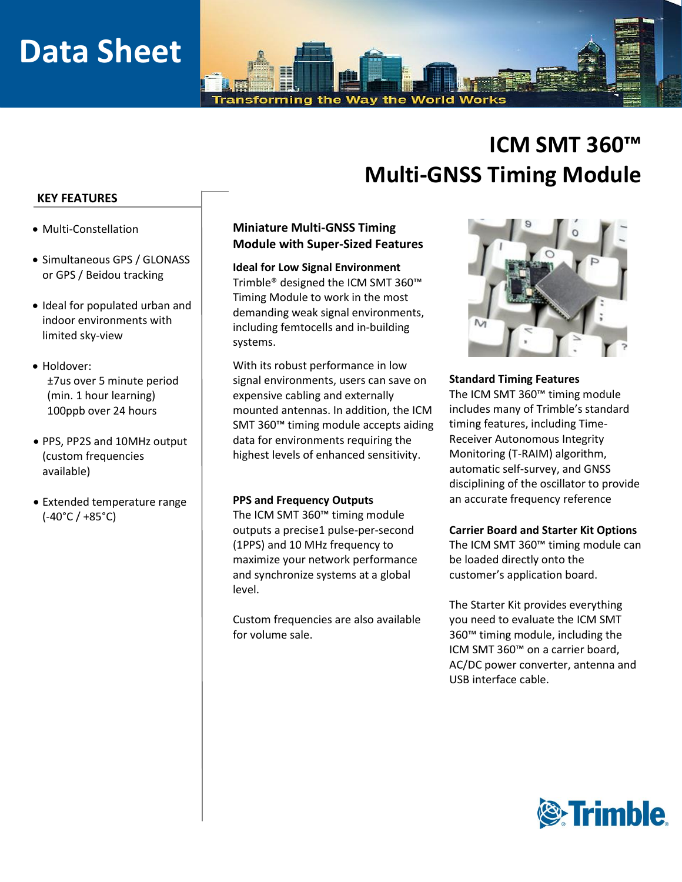# **Data Sheet**

Transforming the Way the World Works

# **ICM SMT 360™ Multi-GNSS Timing Module**

## **KEY FEATURES**

- Multi-Constellation
- Simultaneous GPS / GLONASS or GPS / Beidou tracking
- Ideal for populated urban and indoor environments with limited sky-view
- Holdover: ±7us over 5 minute period (min. 1 hour learning) 100ppb over 24 hours
- PPS, PP2S and 10MHz output (custom frequencies available)
- Extended temperature range (-40°C / +85°C)

# **Miniature Multi-GNSS Timing Module with Super-Sized Features**

**Ideal for Low Signal Environment** Trimble® designed the ICM SMT 360™ Timing Module to work in the most demanding weak signal environments, including femtocells and in-building systems.

With its robust performance in low signal environments, users can save on expensive cabling and externally mounted antennas. In addition, the ICM SMT 360™ timing module accepts aiding data for environments requiring the highest levels of enhanced sensitivity.

#### **PPS and Frequency Outputs**

The ICM SMT 360™ timing module outputs a precise1 pulse-per-second (1PPS) and 10 MHz frequency to maximize your network performance and synchronize systems at a global level.

Custom frequencies are also available for volume sale.



### **Standard Timing Features**

The ICM SMT 360™ timing module includes many of Trimble's standard timing features, including Time-Receiver Autonomous Integrity Monitoring (T-RAIM) algorithm, automatic self-survey, and GNSS disciplining of the oscillator to provide an accurate frequency reference

# **Carrier Board and Starter Kit Options**

The ICM SMT 360™ timing module can be loaded directly onto the customer's application board.

The Starter Kit provides everything you need to evaluate the ICM SMT 360™ timing module, including the ICM SMT 360™ on a carrier board, AC/DC power converter, antenna and USB interface cable.